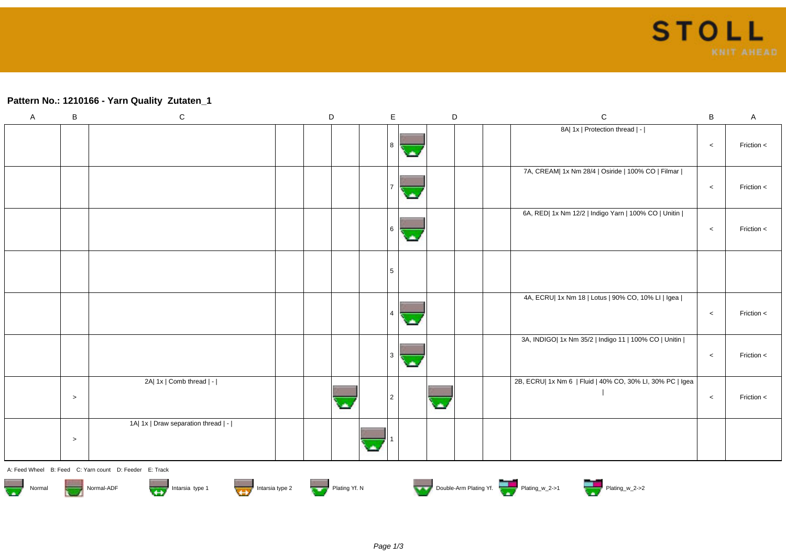## **Pattern No.: 1210166 - Yarn Quality Zutaten\_1**

| $\boldsymbol{\mathsf{A}}$                                                                                                        | B      | ${\bf C}$                           |  | $\mathsf D$ |  | $\mathsf E$          |   | D |  | $\mathsf C$                                               | $\, {\bf B}$ | $\mathsf{A}$ |
|----------------------------------------------------------------------------------------------------------------------------------|--------|-------------------------------------|--|-------------|--|----------------------|---|---|--|-----------------------------------------------------------|--------------|--------------|
|                                                                                                                                  |        |                                     |  |             |  | 8<br>×               |   |   |  | 8A  1x   Protection thread   -                            | $\,<\,$      | Friction <   |
|                                                                                                                                  |        |                                     |  |             |  | 7<br>×               |   |   |  | 7A, CREAM  1x Nm 28/4   Osiride   100% CO   Filmar        | $\,<\,$      | Friction <   |
|                                                                                                                                  |        |                                     |  |             |  | $6 \,$<br>بمبا       |   |   |  | 6A, RED  1x Nm 12/2   Indigo Yarn   100% CO   Unitin      | $\,<$        | Friction <   |
|                                                                                                                                  |        |                                     |  |             |  | 5                    |   |   |  |                                                           |              |              |
|                                                                                                                                  |        |                                     |  |             |  | $\overline{4}$<br>с. |   |   |  | 4A, ECRU  1x Nm 18   Lotus   90% CO, 10% LI   Igea        | $\,<$        | Friction <   |
|                                                                                                                                  |        |                                     |  |             |  | $\vert$ 3<br>с.      |   |   |  | 3A, INDIGO  1x Nm 35/2   Indigo 11   100% CO   Unitin     | $\,<\,$      | Friction <   |
|                                                                                                                                  | $\geq$ | 2A  1x   Comb thread   -            |  |             |  | 2                    | ٠ |   |  | 2B, ECRU  1x Nm 6   Fluid   40% CO, 30% LI, 30% PC   Igea | $\,<$        | Friction <   |
|                                                                                                                                  | $\,>$  | 1A  1x   Draw separation thread   - |  |             |  |                      |   |   |  |                                                           |              |              |
| A: Feed Wheel B: Feed C: Yarn count D: Feeder E: Track                                                                           |        |                                     |  |             |  |                      |   |   |  |                                                           |              |              |
| Double-Arm Plating Yf.<br>Intarsia type 2<br>$\overline{\mathbf{w}}$<br>Intarsia type 1<br>Plating Yf. N<br>Normal-ADF<br>Normal |        |                                     |  |             |  |                      |   |   |  |                                                           |              |              |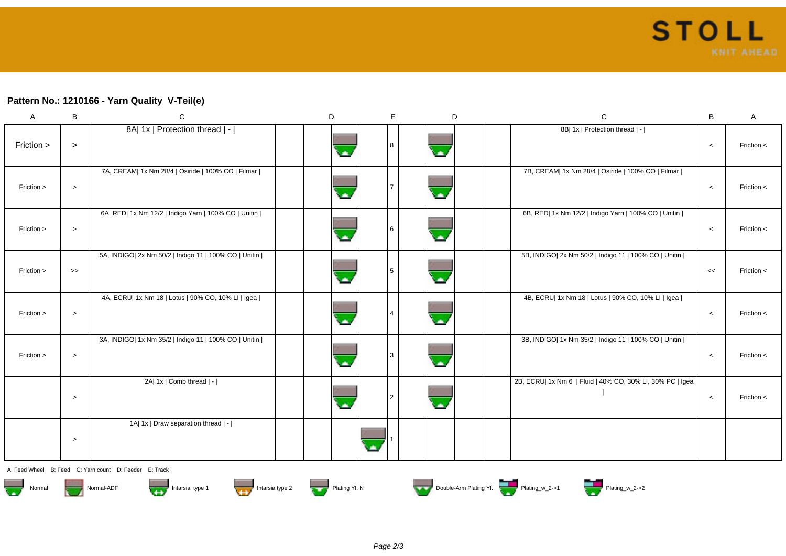## **Pattern No.: 1210166 - Yarn Quality V-Teil(e)**

| $\mathsf A$ | B      | $\mathsf C$                                           | D | E | D                        | $\mathbf C$                                               | В       | Α              |
|-------------|--------|-------------------------------------------------------|---|---|--------------------------|-----------------------------------------------------------|---------|----------------|
| Friction >  | $\geq$ | 8A  1x   Protection thread   -                        |   |   |                          | 8B  1x   Protection thread   -                            | $\,<$   | Friction $<$   |
| Friction >  | $\, >$ | 7A, CREAM  1x Nm 28/4   Osiride   100% CO   Filmar    |   |   |                          | 7B, CREAM  1x Nm 28/4   Osiride   100% CO   Filmar        | $\,<$   | Friction <     |
| Friction >  | $\,>$  | 6A, RED  1x Nm 12/2   Indigo Yarn   100% CO   Unitin  |   |   | z                        | 6B, RED  1x Nm 12/2   Indigo Yarn   100% CO   Unitin      | $\,<$   | Friction $\lt$ |
| Friction >  | $\gt$  | 5A, INDIGO  2x Nm 50/2   Indigo 11   100% CO   Unitin |   |   | Ä                        | 5B, INDIGO  2x Nm 50/2   Indigo 11   100% CO   Unitin     | <<      | Friction $\lt$ |
| Friction >  | $\,>$  | 4A, ECRU  1x Nm 18   Lotus   90% CO, 10% LI   Igea    |   |   | Z                        | 4B, ECRU  1x Nm 18   Lotus   90% CO, 10% LI   Igea        | $\,<$   | Friction <     |
| Friction >  | $\, >$ | 3A, INDIGO  1x Nm 35/2   Indigo 11   100% CO   Unitin |   |   |                          | 3B, INDIGO  1x Nm 35/2   Indigo 11   100% CO   Unitin     | $\,<$   | Friction <     |
|             | $\, >$ | 2A  1x   Comb thread   -                              |   |   | $\overline{\phantom{a}}$ | 2B, ECRU  1x Nm 6   Fluid   40% CO, 30% LI, 30% PC   Igea | $\,<\,$ | Friction $<$   |
|             | $\,>$  | 1A  1x   Draw separation thread   -                   |   |   |                          |                                                           |         |                |

A: Feed Wheel B: Feed C: Yarn count D: Feeder E: Track